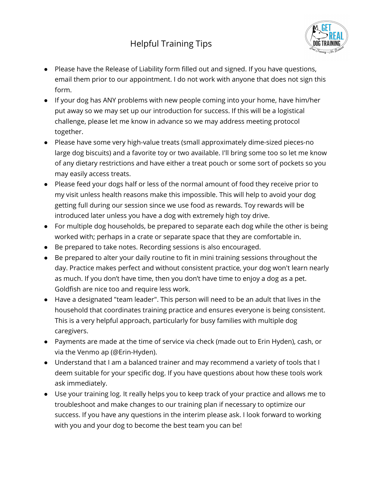## Helpful Training Tips



- Please have the Release of Liability form filled out and signed. If you have questions, email them prior to our appointment. I do not work with anyone that does not sign this form.
- If your dog has ANY problems with new people coming into your home, have him/her put away so we may set up our introduction for success. If this will be a logistical challenge, please let me know in advance so we may address meeting protocol together.
- Please have some very high-value treats (small approximately dime-sized pieces-no large dog biscuits) and a favorite toy or two available. I'll bring some too so let me know of any dietary restrictions and have either a treat pouch or some sort of pockets so you may easily access treats.
- Please feed your dogs half or less of the normal amount of food they receive prior to my visit unless health reasons make this impossible. This will help to avoid your dog getting full during our session since we use food as rewards. Toy rewards will be introduced later unless you have a dog with extremely high toy drive.
- For multiple dog households, be prepared to separate each dog while the other is being worked with; perhaps in a crate or separate space that they are comfortable in.
- Be prepared to take notes. Recording sessions is also encouraged.
- Be prepared to alter your daily routine to fit in mini training sessions throughout the day. Practice makes perfect and without consistent practice, your dog won't learn nearly as much. If you don't have time, then you don't have time to enjoy a dog as a pet. Goldfish are nice too and require less work.
- Have a designated "team leader". This person will need to be an adult that lives in the household that coordinates training practice and ensures everyone is being consistent. This is a very helpful approach, particularly for busy families with multiple dog caregivers.
- Payments are made at the time of service via check (made out to Erin Hyden), cash, or via the Venmo ap (@Erin-Hyden).
- Understand that I am a balanced trainer and may recommend a variety of tools that I deem suitable for your specific dog. If you have questions about how these tools work ask immediately.
- Use your training log. It really helps you to keep track of your practice and allows me to troubleshoot and make changes to our training plan if necessary to optimize our success. If you have any questions in the interim please ask. I look forward to working with you and your dog to become the best team you can be!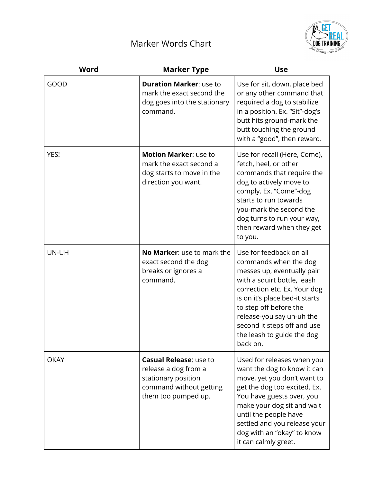### Marker Words Chart



| <b>Word</b> | <b>Marker Type</b>                                                                                                             | <b>Use</b>                                                                                                                                                                                                                                                                                                      |
|-------------|--------------------------------------------------------------------------------------------------------------------------------|-----------------------------------------------------------------------------------------------------------------------------------------------------------------------------------------------------------------------------------------------------------------------------------------------------------------|
| GOOD        | <b>Duration Marker: use to</b><br>mark the exact second the<br>dog goes into the stationary<br>command.                        | Use for sit, down, place bed<br>or any other command that<br>required a dog to stabilize<br>in a position. Ex. "Sit"-dog's<br>butt hits ground-mark the<br>butt touching the ground<br>with a "good", then reward.                                                                                              |
| YES!        | <b>Motion Marker: use to</b><br>mark the exact second a<br>dog starts to move in the<br>direction you want.                    | Use for recall (Here, Come),<br>fetch, heel, or other<br>commands that require the<br>dog to actively move to<br>comply. Ex. "Come"-dog<br>starts to run towards<br>you-mark the second the<br>dog turns to run your way,<br>then reward when they get<br>to you.                                               |
| UN-UH       | No Marker: use to mark the<br>exact second the dog<br>breaks or ignores a<br>command.                                          | Use for feedback on all<br>commands when the dog<br>messes up, eventually pair<br>with a squirt bottle, leash<br>correction etc. Ex. Your dog<br>is on it's place bed-it starts<br>to step off before the<br>release-you say un-uh the<br>second it steps off and use<br>the leash to guide the dog<br>back on. |
| <b>OKAY</b> | <b>Casual Release: use to</b><br>release a dog from a<br>stationary position<br>command without getting<br>them too pumped up. | Used for releases when you<br>want the dog to know it can<br>move, yet you don't want to<br>get the dog too excited. Ex.<br>You have guests over, you<br>make your dog sit and wait<br>until the people have<br>settled and you release your<br>dog with an "okay" to know<br>it can calmly greet.              |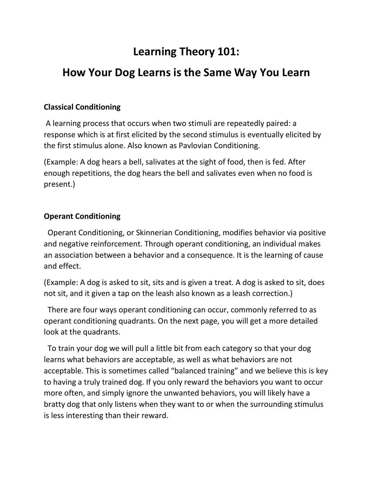## **Learning Theory 101:**

## **How Your Dog Learns is the Same Way You Learn**

#### **Classical Conditioning**

A learning process that occurs when two stimuli are repeatedly paired: a response which is at first elicited by the second stimulus is eventually elicited by the first stimulus alone. Also known as Pavlovian Conditioning.

(Example: A dog hears a bell, salivates at the sight of food, then is fed. After enough repetitions, the dog hears the bell and salivates even when no food is present.)

#### **Operant Conditioning**

 Operant Conditioning, or Skinnerian Conditioning, modifies behavior via positive and negative reinforcement. Through operant conditioning, an individual makes an association between a behavior and a consequence. It is the learning of cause and effect.

(Example: A dog is asked to sit, sits and is given a treat. A dog is asked to sit, does not sit, and it given a tap on the leash also known as a leash correction.)

 There are four ways operant conditioning can occur, commonly referred to as operant conditioning quadrants. On the next page, you will get a more detailed look at the quadrants.

 To train your dog we will pull a little bit from each category so that your dog learns what behaviors are acceptable, as well as what behaviors are not acceptable. This is sometimes called "balanced training" and we believe this is key to having a truly trained dog. If you only reward the behaviors you want to occur more often, and simply ignore the unwanted behaviors, you will likely have a bratty dog that only listens when they want to or when the surrounding stimulus is less interesting than their reward.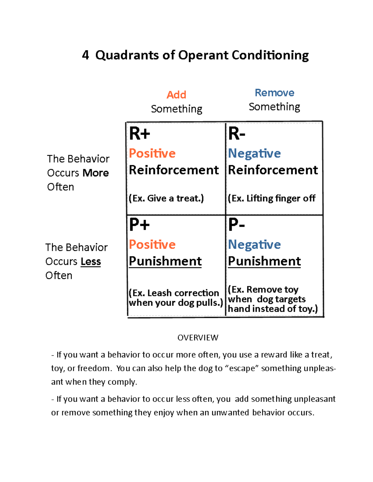# 4 Quadrants of Operant Conditioning

|                                      | Add<br>Something                               | Remove<br>Something                                          |
|--------------------------------------|------------------------------------------------|--------------------------------------------------------------|
| The Behavior<br>Occurs More<br>Often | R+<br><b>Positive</b><br>Reinforcement         | R-<br><b>Negative</b><br>Reinforcement                       |
|                                      | (Ex. Give a treat.)                            | (Ex. Lifting finger off                                      |
|                                      | P+                                             |                                                              |
| The Behavior                         | Positive                                       | <b>Negative</b>                                              |
| Occurs Less<br>Often                 | Punishment                                     | Punishment                                                   |
|                                      | Ex. Leash correction)<br>when your dog pulls.) | (Ex. Remove toy<br>when dog targets<br>hand instead of toy.) |

#### **OVERVIEW**

- If you want a behavior to occur more often, you use a reward like a treat, toy, or freedom. You can also help the dog to "escape" something unpleasant when they comply.

- If you want a behavior to occur less often, you add something unpleasant or remove something they enjoy when an unwanted behavior occurs.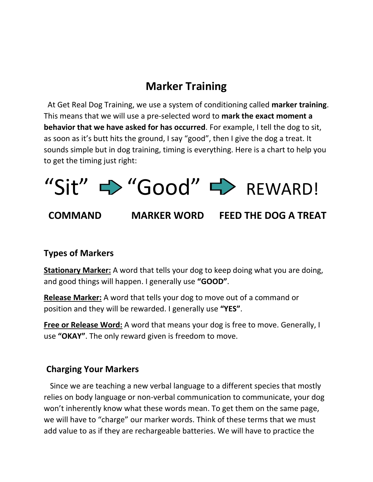## **Marker Training**

 At Get Real Dog Training, we use a system of conditioning called **marker training**. This means that we will use a pre-selected word to **mark the exact moment a behavior that we have asked for has occurred**. For example, I tell the dog to sit, as soon as it's butt hits the ground, I say "good", then I give the dog a treat. It sounds simple but in dog training, timing is everything. Here is a chart to help you to get the timing just right:



**COMMAND MARKER WORD FEED THE DOG A TREAT**

#### **Types of Markers**

**Stationary Marker:** A word that tells your dog to keep doing what you are doing, and good things will happen. I generally use **"GOOD"**.

**Release Marker:** A word that tells your dog to move out of a command or position and they will be rewarded. I generally use **"YES"**.

**Free or Release Word:** A word that means your dog is free to move. Generally, I use **"OKAY"**. The only reward given is freedom to move.

#### **Charging Your Markers**

Since we are teaching a new verbal language to a different species that mostly relies on body language or non-verbal communication to communicate, your dog won't inherently know what these words mean. To get them on the same page, we will have to "charge" our marker words. Think of these terms that we must add value to as if they are rechargeable batteries. We will have to practice the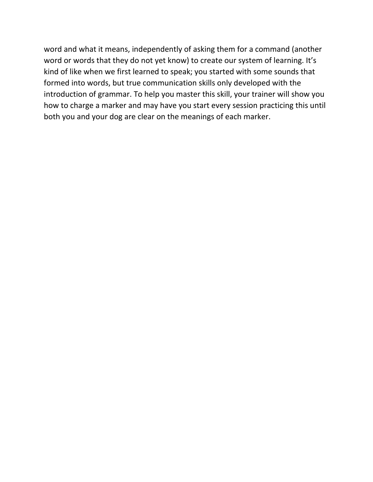word and what it means, independently of asking them for a command (another word or words that they do not yet know) to create our system of learning. It's kind of like when we first learned to speak; you started with some sounds that formed into words, but true communication skills only developed with the introduction of grammar. To help you master this skill, your trainer will show you how to charge a marker and may have you start every session practicing this until both you and your dog are clear on the meanings of each marker.